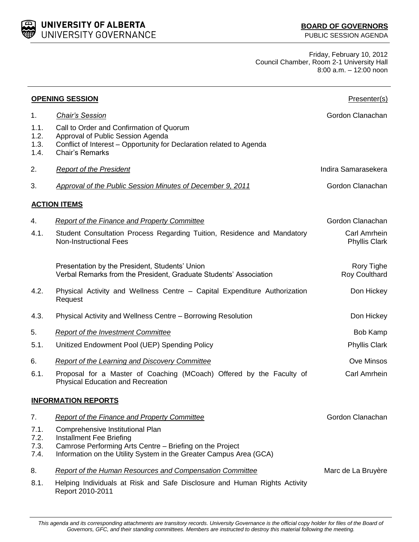UNIVERSITY OF ALBERTA UNIVERSITY GOVERNANCE

Friday, February 10, 2012 Council Chamber, Room 2-1 University Hall 8:00 a.m. – 12:00 noon

| <b>OPENING SESSION</b>       | Presenter(s)                                                                                                                                                                                   |                                      |  |  |
|------------------------------|------------------------------------------------------------------------------------------------------------------------------------------------------------------------------------------------|--------------------------------------|--|--|
| 1.<br>1.1.<br>1.2.           | <b>Chair's Session</b><br>Call to Order and Confirmation of Quorum<br>Approval of Public Session Agenda                                                                                        | Gordon Clanachan                     |  |  |
| 1.3.<br>1.4.                 | Conflict of Interest - Opportunity for Declaration related to Agenda<br><b>Chair's Remarks</b>                                                                                                 |                                      |  |  |
| 2.                           | <b>Report of the President</b>                                                                                                                                                                 | Indira Samarasekera                  |  |  |
| 3.                           | Approval of the Public Session Minutes of December 9, 2011                                                                                                                                     | Gordon Clanachan                     |  |  |
|                              | <b>ACTION ITEMS</b>                                                                                                                                                                            |                                      |  |  |
| 4.                           | <b>Report of the Finance and Property Committee</b>                                                                                                                                            | Gordon Clanachan                     |  |  |
| 4.1.                         | Student Consultation Process Regarding Tuition, Residence and Mandatory<br><b>Non-Instructional Fees</b>                                                                                       | Carl Amrhein<br><b>Phyllis Clark</b> |  |  |
|                              | Presentation by the President, Students' Union<br>Verbal Remarks from the President, Graduate Students' Association                                                                            | Rory Tighe<br>Roy Coulthard          |  |  |
| 4.2.                         | Physical Activity and Wellness Centre - Capital Expenditure Authorization<br>Request                                                                                                           | Don Hickey                           |  |  |
| 4.3.                         | Physical Activity and Wellness Centre - Borrowing Resolution                                                                                                                                   | Don Hickey                           |  |  |
| 5.                           | <b>Report of the Investment Committee</b>                                                                                                                                                      | Bob Kamp                             |  |  |
| 5.1.                         | Unitized Endowment Pool (UEP) Spending Policy                                                                                                                                                  | <b>Phyllis Clark</b>                 |  |  |
| 6.                           | <b>Report of the Learning and Discovery Committee</b>                                                                                                                                          | Ove Minsos                           |  |  |
| 6.1.                         | Proposal for a Master of Coaching (MCoach) Offered by the Faculty of<br><b>Physical Education and Recreation</b>                                                                               | Carl Amrhein                         |  |  |
| <b>INFORMATION REPORTS</b>   |                                                                                                                                                                                                |                                      |  |  |
| 7.                           | Report of the Finance and Property Committee                                                                                                                                                   | Gordon Clanachan                     |  |  |
| 7.1.<br>7.2.<br>7.3.<br>7.4. | Comprehensive Institutional Plan<br>Installment Fee Briefing<br>Camrose Performing Arts Centre - Briefing on the Project<br>Information on the Utility System in the Greater Campus Area (GCA) |                                      |  |  |
| 8.                           | Report of the Human Resources and Compensation Committee                                                                                                                                       | Marc de La Bruyère                   |  |  |
| 8.1.                         | Helping Individuals at Risk and Safe Disclosure and Human Rights Activity<br>Report 2010-2011                                                                                                  |                                      |  |  |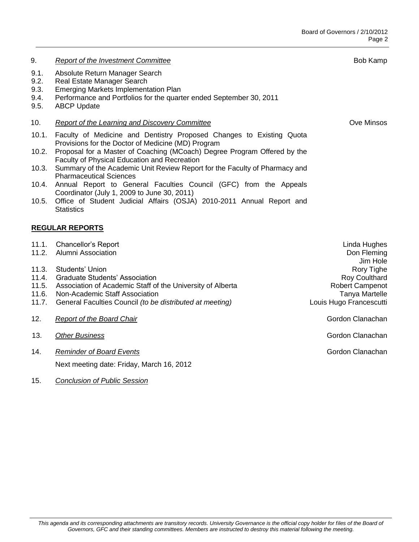| 9.                                        | <b>Report of the Investment Committee</b>                                                                                                                                                                                                                                                                                            | Bob Kamp                                                                                                  |
|-------------------------------------------|--------------------------------------------------------------------------------------------------------------------------------------------------------------------------------------------------------------------------------------------------------------------------------------------------------------------------------------|-----------------------------------------------------------------------------------------------------------|
| 9.1.<br>9.2.<br>9.3.<br>9.4.<br>9.5.      | Absolute Return Manager Search<br>Real Estate Manager Search<br><b>Emerging Markets Implementation Plan</b><br>Performance and Portfolios for the quarter ended September 30, 2011<br><b>ABCP Update</b>                                                                                                                             |                                                                                                           |
| 10.                                       | <b>Report of the Learning and Discovery Committee</b>                                                                                                                                                                                                                                                                                | Ove Minsos                                                                                                |
| 10.1.<br>10.2.<br>10.3.                   | Faculty of Medicine and Dentistry Proposed Changes to Existing Quota<br>Provisions for the Doctor of Medicine (MD) Program<br>Proposal for a Master of Coaching (MCoach) Degree Program Offered by the<br>Faculty of Physical Education and Recreation<br>Summary of the Academic Unit Review Report for the Faculty of Pharmacy and |                                                                                                           |
| 10.4.                                     | <b>Pharmaceutical Sciences</b><br>Annual Report to General Faculties Council (GFC) from the Appeals                                                                                                                                                                                                                                  |                                                                                                           |
| 10.5.                                     | Coordinator (July 1, 2009 to June 30, 2011)<br>Office of Student Judicial Affairs (OSJA) 2010-2011 Annual Report and<br><b>Statistics</b>                                                                                                                                                                                            |                                                                                                           |
|                                           | <b>REGULAR REPORTS</b>                                                                                                                                                                                                                                                                                                               |                                                                                                           |
| 11.1.<br>11.2.                            | <b>Chancellor's Report</b><br><b>Alumni Association</b>                                                                                                                                                                                                                                                                              | Linda Hughes<br>Don Fleming<br>Jim Hole                                                                   |
| 11.3.<br>11.4.<br>11.5.<br>11.6.<br>11.7. | Students' Union<br><b>Graduate Students' Association</b><br>Association of Academic Staff of the University of Alberta<br>Non-Academic Staff Association<br>General Faculties Council (to be distributed at meeting)                                                                                                                 | Rory Tighe<br>Roy Coulthard<br><b>Robert Campenot</b><br><b>Tanya Martelle</b><br>Louis Hugo Francescutti |
| 12.                                       | <b>Report of the Board Chair</b>                                                                                                                                                                                                                                                                                                     | Gordon Clanachan                                                                                          |
| 13.                                       | Other Business                                                                                                                                                                                                                                                                                                                       | Gordon Clanachan                                                                                          |
| 14.                                       | <b>Reminder of Board Events</b>                                                                                                                                                                                                                                                                                                      | Gordon Clanachan                                                                                          |
|                                           | Next meeting date: Friday, March 16, 2012                                                                                                                                                                                                                                                                                            |                                                                                                           |

15. *Conclusion of Public Session*